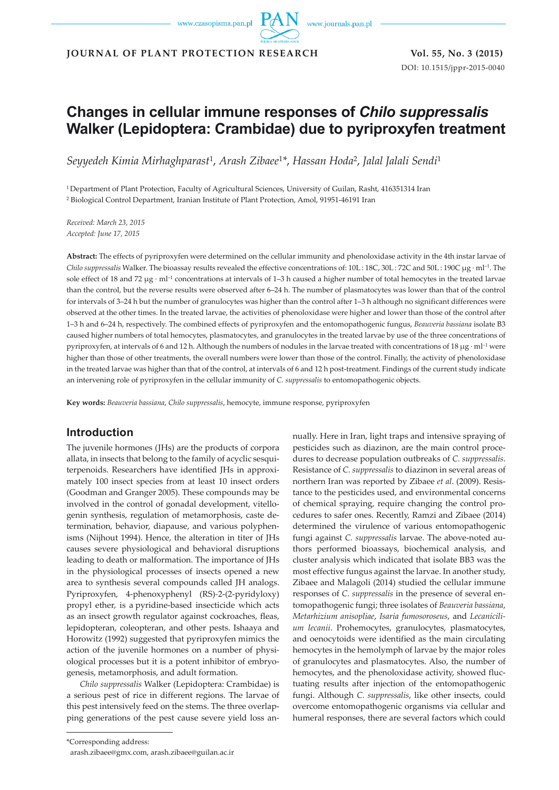www.journals.pan.pl

**JOURNAL OF PLANT PROTECTION RESEARCH Vol. 55, No. 3 (2015)**

DOI: 10.1515/jppr-2015-0040

# **Changes in cellular immune responses of** *Chilo suppressalis*  **Walker (Lepidoptera: Crambidae) due to pyriproxyfen treatment**

*Seyyedeh Kimia Mirhaghparast*1, *Arash Zibaee*<sup>1</sup>*\**, *Hassan Hoda*2, *Jalal Jalali Sendi*<sup>1</sup>

1 Department of Plant Protection, Faculty of Agricultural Sciences, University of Guilan, Rasht, 416351314 Iran 2 Biological Control Department, Iranian Institute of Plant Protection, Amol, 91951-46191 Iran

*Received: March 23, 2015 Accepted: June 17, 2015*

**Abstract:** The effects of pyriproxyfen were determined on the cellular immunity and phenoloxidase activity in the 4th instar larvae of *Chilo suppressalis* Walker. The bioassay results revealed the effective concentrations of: 10L: 18C, 30L: 72C and 50L: 190C µg · ml<sup>-1</sup>. The sole effect of 18 and 72  $\mu$ g · ml<sup>-1</sup> concentrations at intervals of 1–3 h caused a higher number of total hemocytes in the treated larvae than the control, but the reverse results were observed after 6–24 h. The number of plasmatocytes was lower than that of the control for intervals of 3–24 h but the number of granulocytes was higher than the control after 1–3 h although no significant differences were observed at the other times. In the treated larvae, the activities of phenoloxidase were higher and lower than those of the control after 1–3 h and 6–24 h, respectively. The combined effects of pyriproxyfen and the entomopathogenic fungus, *Beauveria bassiana* isolate B3 caused higher numbers of total hemocytes, plasmatocytes, and granulocytes in the treated larvae by use of the three concentrations of pyriproxyfen, at intervals of 6 and 12 h. Although the numbers of nodules in the larvae treated with concentrations of 18  $\mu$ g · ml<sup>-1</sup> were higher than those of other treatments, the overall numbers were lower than those of the control. Finally, the activity of phenoloxidase in the treated larvae was higher than that of the control, at intervals of 6 and 12 h post-treatment. Findings of the current study indicate an intervening role of pyriproxyfen in the cellular immunity of *C. suppressalis* to entomopathogenic objects.

**Key words:** *Beauveria bassiana*, *Chilo suppressalis*, hemocyte, immune response, pyriproxyfen

## **Introduction**

The juvenile hormones (JHs) are the products of corpora allata, in insects that belong to the family of acyclic sesquiterpenoids. Researchers have identified JHs in approximately 100 insect species from at least 10 insect orders (Goodman and Granger 2005). These compounds may be involved in the control of gonadal development, vitellogenin synthesis, regulation of metamorphosis, caste determination, behavior, diapause, and various polyphenisms (Nijhout 1994). Hence, the alteration in titer of JHs causes severe physiological and behavioral disruptions leading to death or malformation. The importance of JHs in the physiological processes of insects opened a new area to synthesis several compounds called JH analogs. Pyriproxyfen, 4-phenoxyphenyl (RS)*-*2-(2-pyridyloxy) propyl ether, is a pyridine-based insecticide which acts as an insect growth regulator against cockroaches, fleas, lepidopteran, coleopteran, and other pests. Ishaaya and Horowitz (1992) suggested that pyriproxyfen mimics the action of the juvenile hormones on a number of physiological processes but it is a potent inhibitor of embryogenesis, metamorphosis, and adult formation.

*Chilo suppressalis* Walker (Lepidoptera: Crambidae) is a serious pest of rice in different regions. The larvae of this pest intensively feed on the stems. The three overlapping generations of the pest cause severe yield loss an-

pesticides such as diazinon, are the main control procedures to decrease population outbreaks of *C. suppressalis*. Resistance of *C. suppressalis* to diazinon in several areas of northern Iran was reported by Zibaee *et al*. (2009). Resistance to the pesticides used, and environmental concerns of chemical spraying, require changing the control procedures to safer ones. Recently, Ramzi and Zibaee (2014) determined the virulence of various entomopathogenic fungi against *C. suppressalis* larvae. The above-noted authors performed bioassays, biochemical analysis, and cluster analysis which indicated that isolate BB3 was the most effective fungus against the larvae. In another study, Zibaee and Malagoli (2014) studied the cellular immune responses of *C. suppressalis* in the presence of several entomopathogenic fungi; three isolates of *Beauveria bassiana*, *Metarhizium anisopliae*, *Isaria fumosoroseus*, and *Lecanicilium lecanii*. Prohemocytes, granulocytes, plasmatocytes, and oenocytoids were identified as the main circulating hemocytes in the hemolymph of larvae by the major roles of granulocytes and plasmatocytes. Also, the number of hemocytes, and the phenoloxidase activity, showed fluctuating results after injection of the entomopathogenic fungi. Although *C. suppressalis*, like other insects, could overcome entomopathogenic organisms via cellular and humeral responses, there are several factors which could

nually. Here in Iran, light traps and intensive spraying of

<sup>\*</sup>Corresponding address:

arash.zibaee@gmx.com, arash.zibaee@guilan.ac.ir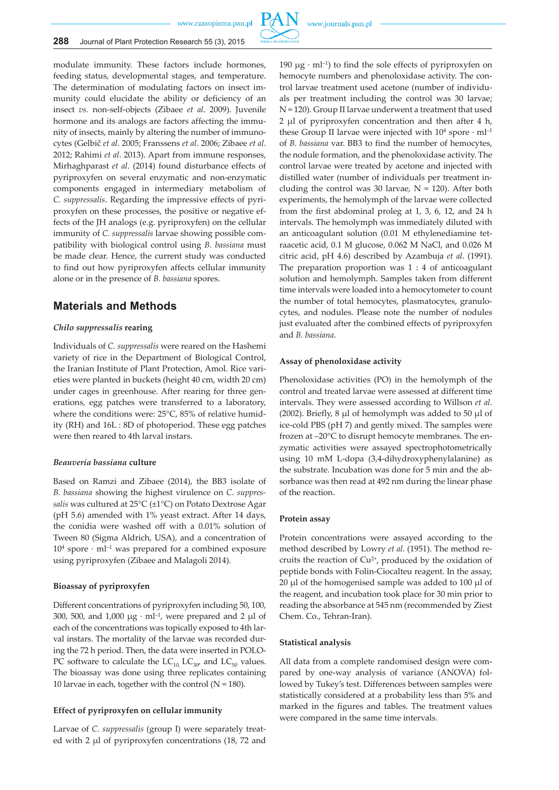

modulate immunity. These factors include hormones, feeding status, developmental stages, and temperature. The determination of modulating factors on insect immunity could elucidate the ability or deficiency of an insect *vs.* non-self-objects (Zibaee *et al*. 2009). Juvenile hormone and its analogs are factors affecting the immunity of insects, mainly by altering the number of immunocytes (Gelbič *et al*. 2005; Franssens *et al*. 2006; Zibaee *et al*. 2012; Rahimi *et al*. 2013). Apart from immune responses, Mirhaghparast *et al*. (2014) found disturbance effects of pyriproxyfen on several enzymatic and non-enzymatic components engaged in intermediary metabolism of *C. suppressalis*. Regarding the impressive effects of pyriproxyfen on these processes, the positive or negative effects of the JH analogs (e.g. pyriproxyfen) on the cellular immunity of *C. suppressalis* larvae showing possible compatibility with biological control using *B. bassiana* must be made clear. Hence, the current study was conducted to find out how pyriproxyfen affects cellular immunity alone or in the presence of *B. bassiana* spores.

### **Materials and Methods**

#### *Chilo suppressalis* **rearing**

Individuals of *C. suppressalis* were reared on the Hashemi variety of rice in the Department of Biological Control, the Iranian Institute of Plant Protection, Amol. Rice varieties were planted in buckets (height 40 cm, width 20 cm) under cages in greenhouse. After rearing for three generations, egg patches were transferred to a laboratory, where the conditions were: 25°C, 85% of relative humidity (RH) and 16L : 8D of photoperiod. These egg patches were then reared to 4th larval instars.

#### *Beauveria bassiana* **culture**

Based on Ramzi and Zibaee (2014), the BB3 isolate of *B. bassiana* showing the highest virulence on *C. suppressalis* was cultured at 25°C (±1°C) on Potato Dextrose Agar (pH 5.6) amended with 1% yeast extract. After 14 days, the conidia were washed off with a 0.01% solution of Tween 80 (Sigma Aldrich, USA), and a concentration of  $10<sup>4</sup>$  spore  $\cdot$  ml<sup>-1</sup> was prepared for a combined exposure using pyriproxyfen (Zibaee and Malagoli 2014).

#### **Bioassay of pyriproxyfen**

Different concentrations of pyriproxyfen including 50, 100, 300, 500, and 1,000  $\mu$ g · ml<sup>-1</sup>, were prepared and 2  $\mu$ l of each of the concentrations was topically exposed to 4th larval instars. The mortality of the larvae was recorded during the 72 h period. Then, the data were inserted in POLO-PC software to calculate the  $LC_{10}$ ,  $LC_{30}$  and  $LC_{50}$  values. The bioassay was done using three replicates containing 10 larvae in each, together with the control  $(N = 180)$ .

#### **Effect of pyriproxyfen on cellular immunity**

Larvae of *C. suppressalis* (group I) were separately treated with 2 µl of pyriproxyfen concentrations (18, 72 and

190  $\mu$ g · ml<sup>-1</sup>) to find the sole effects of pyriproxyfen on hemocyte numbers and phenoloxidase activity. The control larvae treatment used acetone (number of individuals per treatment including the control was 30 larvae; N = 120). Group II larvae underwent a treatment that used 2 µl of pyriproxyfen concentration and then after 4 h, these Group II larvae were injected with  $10^4$  spore  $\cdot$  ml<sup>-1</sup> of *B. bassiana* var. BB3 to find the number of hemocytes, the nodule formation, and the phenoloxidase activity. The control larvae were treated by acetone and injected with distilled water (number of individuals per treatment including the control was 30 larvae,  $N = 120$ ). After both experiments, the hemolymph of the larvae were collected from the first abdominal proleg at 1, 3, 6, 12, and 24 h intervals. The hemolymph was immediately diluted with an anticoagulant solution (0.01 M ethylenediamine tetraacetic acid, 0.1 M glucose, 0.062 M NaCl, and 0.026 M citric acid, pH 4.6) described by Azambuja *et al*. (1991). The preparation proportion was  $1:4$  of anticoagulant solution and hemolymph. Samples taken from different time intervals were loaded into a hemocytometer to count the number of total hemocytes, plasmatocytes, granulocytes, and nodules. Please note the number of nodules just evaluated after the combined effects of pyriproxyfen and *B. bassiana*.

#### **Assay of phenoloxidase activity**

Phenoloxidase activities (PO) in the hemolymph of the control and treated larvae were assessed at different time intervals. They were assessed according to Willson *et al*. (2002). Briefly,  $8 \mu l$  of hemolymph was added to  $50 \mu l$  of ice-cold PBS (pH 7) and gently mixed. The samples were frozen at –20°C to disrupt hemocyte membranes. The enzymatic activities were assayed spectrophotometrically using 10 mM L-dopa (3,4-dihydroxyphenylalanine) as the substrate. Incubation was done for 5 min and the absorbance was then read at 492 nm during the linear phase of the reaction.

#### **Protein assay**

Protein concentrations were assayed according to the method described by Lowry *et al*. (1951). The method recruits the reaction of  $Cu^{2+}$ , produced by the oxidation of peptide bonds with Folin-Ciocalteu reagent. In the assay, 20 µl of the homogenised sample was added to 100 µl of the reagent, and incubation took place for 30 min prior to reading the absorbance at 545 nm (recommended by Ziest Chem. Co., Tehran-Iran).

#### **Statistical analysis**

All data from a complete randomised design were compared by one-way analysis of variance (ANOVA) followed by Tukey's test. Differences between samples were statistically considered at a probability less than 5% and marked in the figures and tables. The treatment values were compared in the same time intervals.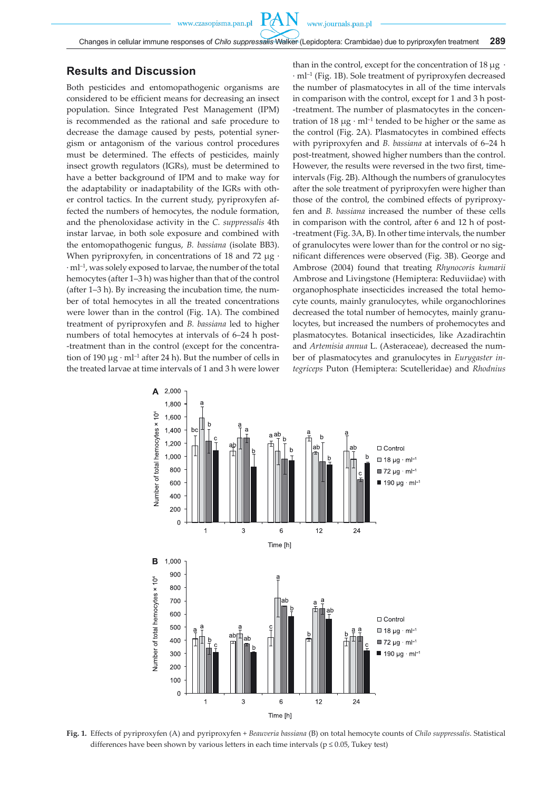# **Results and Discussion**

Both pesticides and entomopathogenic organisms are considered to be efficient means for decreasing an insect population. Since Integrated Pest Management (IPM) is recommended as the rational and safe procedure to decrease the damage caused by pests, potential synergism or antagonism of the various control procedures must be determined. The effects of pesticides, mainly insect growth regulators (IGRs), must be determined to have a better background of IPM and to make way for the adaptability or inadaptability of the IGRs with other control tactics. In the current study, pyriproxyfen affected the numbers of hemocytes, the nodule formation, and the phenoloxidase activity in the *C. suppressalis* 4th instar larvae, in both sole exposure and combined with the entomopathogenic fungus, *B. bassiana* (isolate BB3). When pyriproxyfen, in concentrations of 18 and 72  $\mu$ g ·  $\cdot$  ml<sup>-1</sup>, was solely exposed to larvae, the number of the total hemocytes (after 1–3 h) was higher than that of the control (after 1–3 h). By increasing the incubation time, the number of total hemocytes in all the treated concentrations were lower than in the control (Fig. 1A). The combined treatment of pyriproxyfen and *B. bassiana* led to higher numbers of total hemocytes at intervals of 6–24 h post- -treatment than in the control (except for the concentration of 190  $\mu$ g · ml<sup>-1</sup> after 24 h). But the number of cells in the treated larvae at time intervals of 1 and 3 h were lower than in the control, except for the concentration of 18  $\mu$ g · · ml–1 (Fig. 1B). Sole treatment of pyriproxyfen decreased the number of plasmatocytes in all of the time intervals in comparison with the control, except for 1 and 3 h post- -treatment. The number of plasmatocytes in the concentration of 18  $\mu$ g · ml<sup>-1</sup> tended to be higher or the same as the control (Fig. 2A). Plasmatocytes in combined effects with pyriproxyfen and *B. bassiana* at intervals of 6–24 h post-treatment, showed higher numbers than the control. However, the results were reversed in the two first, timeintervals (Fig. 2B). Although the numbers of granulocytes after the sole treatment of pyriproxyfen were higher than those of the control, the combined effects of pyriproxyfen and *B. bassiana* increased the number of these cells in comparison with the control, after 6 and 12 h of post- -treatment (Fig. 3A, B). In other time intervals, the number of granulocytes were lower than for the control or no significant differences were observed (Fig. 3B). George and Ambrose (2004) found that treating *Rhynocoris kumarii* Ambrose and Livingstone (Hemiptera: Reduviidae) with organophosphate insecticides increased the total hemocyte counts, mainly granulocytes, while organochlorines decreased the total number of hemocytes, mainly granulocytes, but increased the numbers of prohemocytes and plasmatocytes. Botanical insecticides, like Azadirachtin and *Artemisia annua* L. (Asteraceae), decreased the number of plasmatocytes and granulocytes in *Eurygaster integriceps* Puton (Hemiptera: Scutelleridae) and *Rhodnius* 



**Fig. 1.** Effects of pyriproxyfen (A) and pyriproxyfen + *Beauveria bassiana* (B) on total hemocyte counts of *Chilo suppressalis*. Statistical differences have been shown by various letters in each time intervals ( $p \le 0.05$ , Tukey test)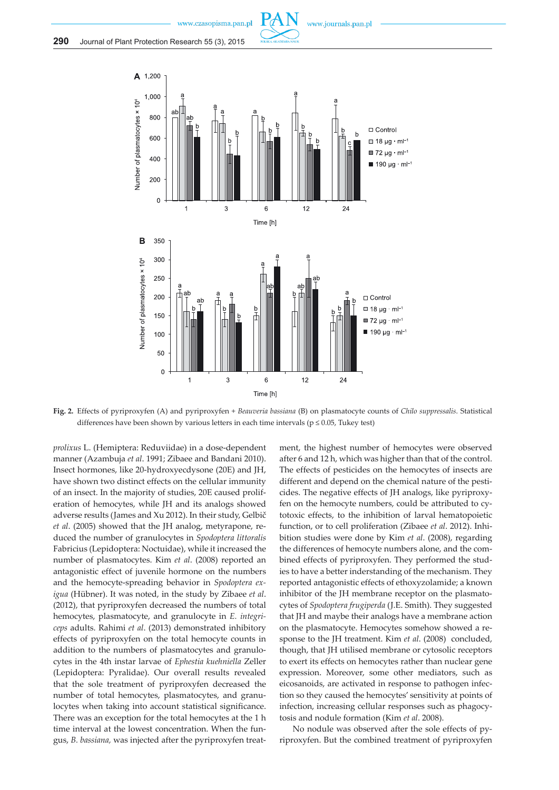



**Fig. 2.** Effects of pyriproxyfen (A) and pyriproxyfen + *Beauveria bassiana* (B) on plasmatocyte counts of *Chilo suppressalis*. Statistical differences have been shown by various letters in each time intervals ( $p \le 0.05$ , Tukey test)

*prolixus* L. (Hemiptera: Reduviidae) in a dose-dependent manner (Azambuja *et al*. 1991; Zibaee and Bandani 2010). Insect hormones, like 20-hydroxyecdysone (20E) and JH, have shown two distinct effects on the cellular immunity of an insect. In the majority of studies, 20E caused proliferation of hemocytes, while JH and its analogs showed adverse results (James and Xu 2012). In their study, Gelbič *et al*. (2005) showed that the JH analog, metyrapone, reduced the number of granulocytes in *Spodoptera littoralis* Fabricius (Lepidoptera: Noctuidae), while it increased the number of plasmatocytes. Kim *et al*. (2008) reported an antagonistic effect of juvenile hormone on the numbers and the hemocyte-spreading behavior in *Spodoptera exigua* (Hübner). It was noted, in the study by Zibaee *et al*. (2012), that pyriproxyfen decreased the numbers of total hemocytes, plasmatocyte, and granulocyte in *E. integriceps* adults. Rahimi *et al*. (2013) demonstrated inhibitory effects of pyriproxyfen on the total hemocyte counts in addition to the numbers of plasmatocytes and granulocytes in the 4th instar larvae of *Ephestia kuehniella* Zeller (Lepidoptera: Pyralidae). Our overall results revealed that the sole treatment of pyriproxyfen decreased the number of total hemocytes, plasmatocytes, and granulocytes when taking into account statistical significance. There was an exception for the total hemocytes at the 1 h time interval at the lowest concentration. When the fungus, *B. bassiana,* was injected after the pyriproxyfen treat-

ment, the highest number of hemocytes were observed after 6 and 12 h, which was higher than that of the control. The effects of pesticides on the hemocytes of insects are different and depend on the chemical nature of the pesticides. The negative effects of JH analogs, like pyriproxyfen on the hemocyte numbers, could be attributed to cytotoxic effects, to the inhibition of larval hematopoietic function, or to cell proliferation (Zibaee *et al*. 2012). Inhibition studies were done by Kim *et al*. (2008), regarding the differences of hemocyte numbers alone, and the combined effects of pyriproxyfen. They performed the studies to have a better inderstanding of the mechanism. They reported antagonistic effects of ethoxyzolamide; a known inhibitor of the JH membrane receptor on the plasmatocytes of *Spodoptera frugiperda* (J.E. Smith). They suggested that JH and maybe their analogs have a membrane action on the plasmatocyte. Hemocytes somehow showed a response to the JH treatment. Kim *et al*. (2008) concluded, though, that JH utilised membrane or cytosolic receptors to exert its effects on hemocytes rather than nuclear gene expression. Moreover, some other mediators, such as eicosanoids, are activated in response to pathogen infection so they caused the hemocytes' sensitivity at points of infection, increasing cellular responses such as phagocytosis and nodule formation (Kim *et al*. 2008).

No nodule was observed after the sole effects of pyriproxyfen. But the combined treatment of pyriproxyfen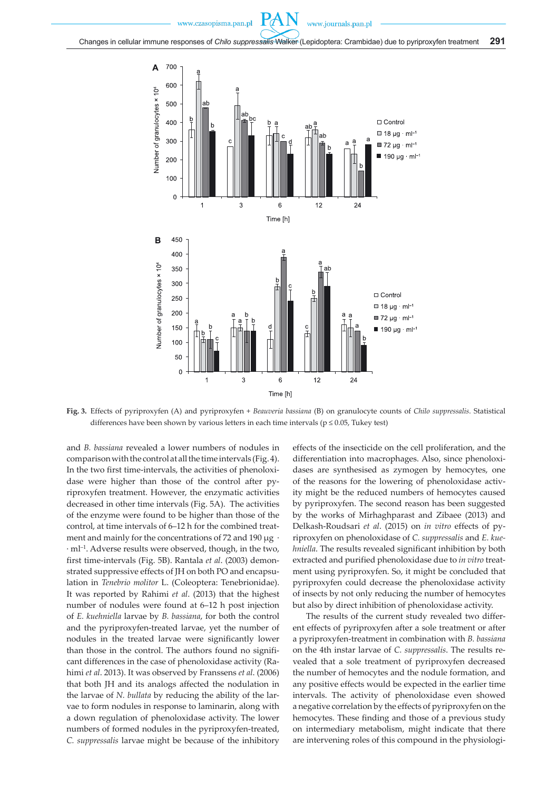

**Fig. 3.** Effects of pyriproxyfen (A) and pyriproxyfen + *Beauveria bassiana* (B) on granulocyte counts of *Chilo suppressalis*. Statistical differences have been shown by various letters in each time intervals ( $p \le 0.05$ , Tukey test)

and *B. bassiana* revealed a lower numbers of nodules in comparison with the control at all the time intervals (Fig. 4). In the two first time-intervals, the activities of phenoloxidase were higher than those of the control after pyriproxyfen treatment. However, the enzymatic activities decreased in other time intervals (Fig. 5A). The activities of the enzyme were found to be higher than those of the control, at time intervals of 6–12 h for the combined treatment and mainly for the concentrations of 72 and 190  $\mu$ g · · ml–1. Adverse results were observed, though, in the two, first time-intervals (Fig. 5B). Rantala *et al*. (2003) demonstrated suppressive effects of JH on both PO and encapsulation in *Tenebrio molitor* L. (Coleoptera: Tenebrionidae). It was reported by Rahimi *et al*. (2013) that the highest number of nodules were found at 6–12 h post injection of *E. kuehniella* larvae by *B. bassiana*, for both the control and the pyriproxyfen-treated larvae, yet the number of nodules in the treated larvae were significantly lower than those in the control. The authors found no significant differences in the case of phenoloxidase activity (Rahimi *et al*. 2013). It was observed by Franssens *et al*. (2006) that both JH and its analogs affected the nodulation in the larvae of *N. bullata* by reducing the ability of the larvae to form nodules in response to laminarin, along with a down regulation of phenoloxidase activity. The lower numbers of formed nodules in the pyriproxyfen-treated, *C. suppressalis* larvae might be because of the inhibitory effects of the insecticide on the cell proliferation, and the differentiation into macrophages. Also, since phenoloxidases are synthesised as zymogen by hemocytes, one of the reasons for the lowering of phenoloxidase activity might be the reduced numbers of hemocytes caused by pyriproxyfen. The second reason has been suggested by the works of Mirhaghparast and Zibaee (2013) and Delkash-Roudsari *et al*. (2015) on *in vitro* effects of pyriproxyfen on phenoloxidase of *C. suppressalis* and *E. kuehniella*. The results revealed significant inhibition by both extracted and purified phenoloxidase due to *in vitro* treatment using pyriproxyfen. So, it might be concluded that pyriproxyfen could decrease the phenoloxidase activity of insects by not only reducing the number of hemocytes but also by direct inhibition of phenoloxidase activity.

The results of the current study revealed two different effects of pyriproxyfen after a sole treatment or after a pyriproxyfen-treatment in combination with *B. bassiana*  on the 4th instar larvae of *C. suppressalis*. The results revealed that a sole treatment of pyriproxyfen decreased the number of hemocytes and the nodule formation, and any positive effects would be expected in the earlier time intervals. The activity of phenoloxidase even showed a negative correlation by the effects of pyriproxyfen on the hemocytes. These finding and those of a previous study on intermediary metabolism, might indicate that there are intervening roles of this compound in the physiologi-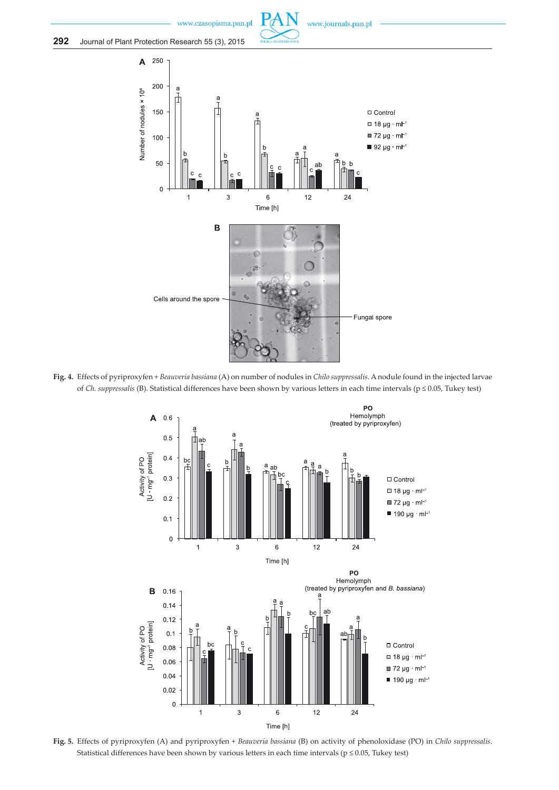



**Fig. 4.** Effects of pyriproxyfen + *Beauveria bassiana* (A) on number of nodules in *Chilo suppressalis*. A nodule found in the injected larvae of *Ch. suppressalis* (B). Statistical differences have been shown by various letters in each time intervals (p ≤ 0.05, Tukey test)



**Fig. 5.** Effects of pyriproxyfen (A) and pyriproxyfen + *Beauveria bassiana* (B) on activity of phenoloxidase (PO) in *Chilo suppressalis*. Statistical differences have been shown by various letters in each time intervals ( $p \le 0.05$ , Tukey test)